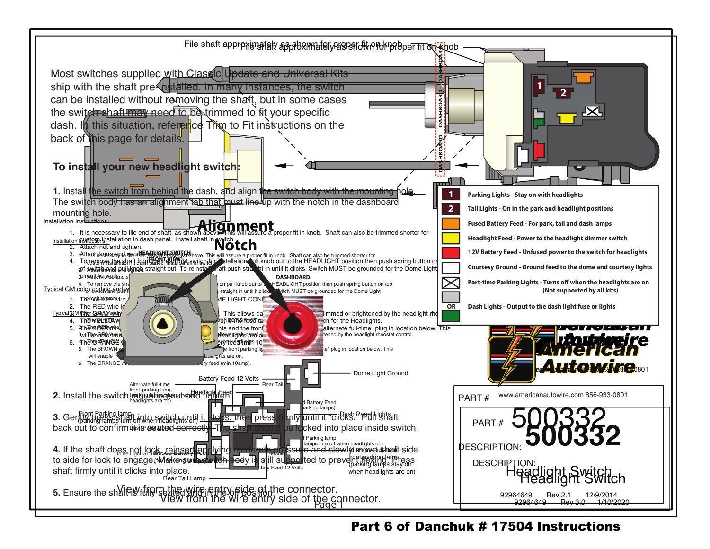

Part 6 of Danchuk # 17504 Instructions